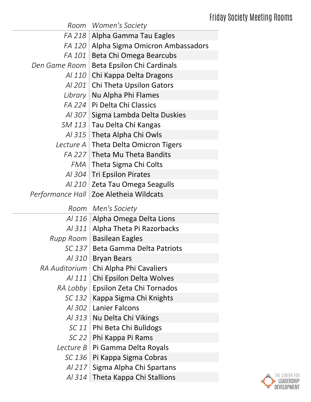|               | Room Women's Society                     |
|---------------|------------------------------------------|
| FA 218        | Alpha Gamma Tau Eagles                   |
| FA 120        | Alpha Sigma Omicron Ambassadors          |
| <i>FA 101</i> | Beta Chi Omega Bearcubs                  |
| Den Game Room | <b>Beta Epsilon Chi Cardinals</b>        |
| <i>Al 110</i> | Chi Kappa Delta Dragons                  |
| Al 201        | Chi Theta Upsilon Gators                 |
| Library       | Nu Alpha Phi Flames                      |
|               | FA 224   Pi Delta Chi Classics           |
|               | Al 307 Sigma Lambda Delta Duskies        |
| SM 113        | Tau Delta Chi Kangas                     |
| Al 315        | Theta Alpha Chi Owls                     |
| Lecture A     | <b>Theta Delta Omicron Tigers</b>        |
|               | FA 227 Theta Mu Theta Bandits            |
| FMA           | Theta Sigma Chi Colts                    |
| Al $304$      | <b>Tri Epsilon Pirates</b>               |
| AI 210        | Zeta Tau Omega Seagulls                  |
|               | Performance Hall   Zoe Aletheia Wildcats |
|               |                                          |
|               | Room Men's Society                       |
| Al 116        | Alpha Omega Delta Lions                  |
| Al 311        | Alpha Theta Pi Razorbacks                |
| Rupp Room     | <b>Basilean Eagles</b>                   |
| SC 137        | <b>Beta Gamma Delta Patriots</b>         |
| <i>Al 310</i> | <b>Bryan Bears</b>                       |
| RA Auditorium | Chi Alpha Phi Cavaliers                  |
| Al 111        | Chi Epsilon Delta Wolves                 |
|               | RA Lobby   Epsilon Zeta Chi Tornados     |
| SC 132        | Kappa Sigma Chi Knights                  |
|               | Al 302   Lanier Falcons                  |
| Al $313$      | Nu Delta Chi Vikings                     |
| SC 11         | Phi Beta Chi Bulldogs                    |
| $SC$ 22       | Phi Kappa Pi Rams                        |
| Lecture B     | Pi Gamma Delta Royals                    |
| SC 136        | Pi Kappa Sigma Cobras                    |
| AI 217        | Sigma Alpha Chi Spartans                 |